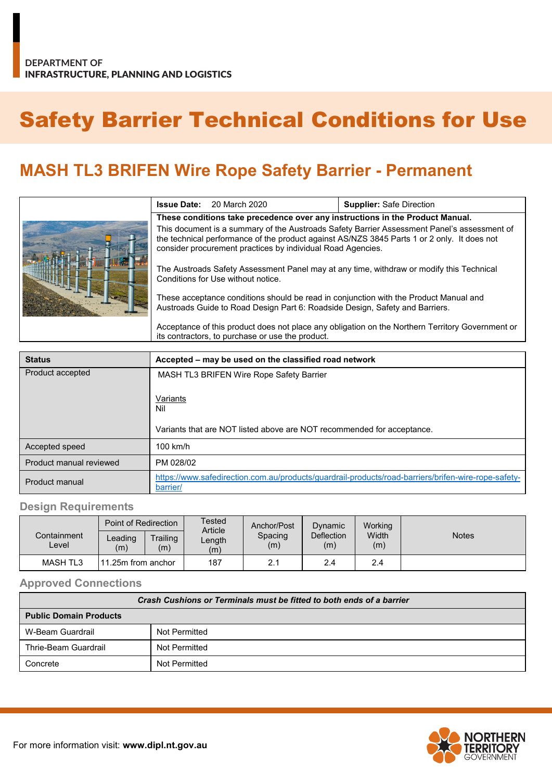## Safety Barrier Technical Conditions for Use

## **MASH TL3 BRIFEN Wire Rope Safety Barrier - Permanent**

|  | <b>Issue Date:</b>                                                                                                                                                                                                                                        | 20 March 2020 | <b>Supplier: Safe Direction</b> |  |
|--|-----------------------------------------------------------------------------------------------------------------------------------------------------------------------------------------------------------------------------------------------------------|---------------|---------------------------------|--|
|  | These conditions take precedence over any instructions in the Product Manual.                                                                                                                                                                             |               |                                 |  |
|  | This document is a summary of the Austroads Safety Barrier Assessment Panel's assessment of<br>the technical performance of the product against AS/NZS 3845 Parts 1 or 2 only. It does not<br>consider procurement practices by individual Road Agencies. |               |                                 |  |
|  | The Austroads Safety Assessment Panel may at any time, withdraw or modify this Technical<br>Conditions for Use without notice.                                                                                                                            |               |                                 |  |
|  | These acceptance conditions should be read in conjunction with the Product Manual and<br>Austroads Guide to Road Design Part 6: Roadside Design, Safety and Barriers.                                                                                     |               |                                 |  |
|  | Acceptance of this product does not place any obligation on the Northern Territory Government or<br>its contractors, to purchase or use the product.                                                                                                      |               |                                 |  |

| <b>Status</b>           | Accepted – may be used on the classified road network                                                           |  |  |  |
|-------------------------|-----------------------------------------------------------------------------------------------------------------|--|--|--|
| Product accepted        | MASH TL3 BRIFEN Wire Rope Safety Barrier                                                                        |  |  |  |
|                         | Variants<br>Nil                                                                                                 |  |  |  |
|                         | Variants that are NOT listed above are NOT recommended for acceptance.                                          |  |  |  |
| Accepted speed          | 100 km/h                                                                                                        |  |  |  |
| Product manual reviewed | PM 028/02                                                                                                       |  |  |  |
| Product manual          | https://www.safedirection.com.au/products/guardrail-products/road-barriers/brifen-wire-rope-safety-<br>barrier/ |  |  |  |

## **Design Requirements**

|                      | Point of Redirection                       |                 | Tested<br>Article | Anchor/Post    | Dynamic                  | Working      |              |
|----------------------|--------------------------------------------|-----------------|-------------------|----------------|--------------------------|--------------|--------------|
| Containment<br>Level | $\textcolor{red}{\textsf{Leading}}$<br>(m) | Trailing<br>(m) | Length<br>(m)     | Spacing<br>(m) | <b>Deflection</b><br>(m) | Width<br>(m) | <b>Notes</b> |
| <b>MASH TL3</b>      | 11.25m from anchor                         |                 | 187               | 2.1            | 2.4                      | 2.4          |              |

**Approved Connections**

| Crash Cushions or Terminals must be fitted to both ends of a barrier |               |  |  |
|----------------------------------------------------------------------|---------------|--|--|
| <b>Public Domain Products</b>                                        |               |  |  |
| W-Beam Guardrail                                                     | Not Permitted |  |  |
| Thrie-Beam Guardrail                                                 | Not Permitted |  |  |
| Concrete                                                             | Not Permitted |  |  |